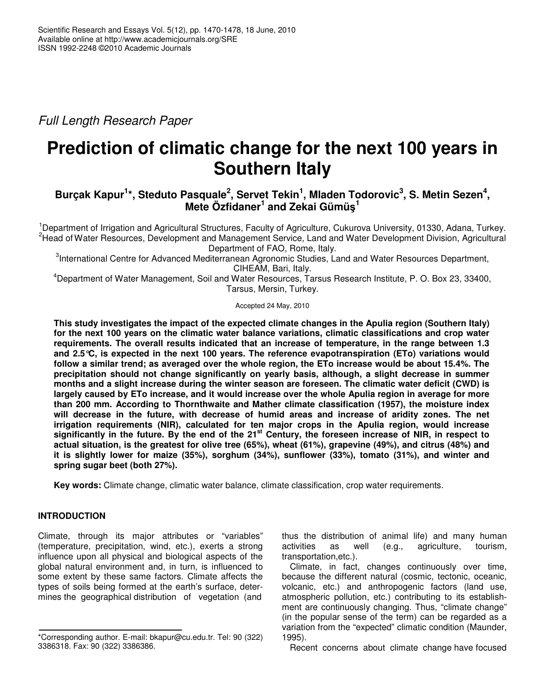*Full Length Research Paper*

# **Prediction of climatic change for the next 100 years in Southern Italy**

# Burçak Kapur $^{1*}$ , Steduto Pasquale $^2$ , Servet Tekin $^1$ , Mladen Todorovic $^3$ , S. Metin Sezen $^4$ , **Mete Özfidaner 1 and Zekai Gümü 1**

<sup>1</sup>Department of Irrigation and Agricultural Structures, Faculty of Agriculture, Cukurova University, 01330, Adana, Turkey. <sup>2</sup>Head of Water Resources, Development and Management Service, Land and Water Development Division, Agricultural Department of FAO, Rome, Italy.

<sup>3</sup>International Centre for Advanced Mediterranean Agronomic Studies, Land and Water Resources Department, CIHEAM, Bari, Italy.

<sup>4</sup>Department of Water Management, Soil and Water Resources, Tarsus Research Institute, P. O. Box 23, 33400, Tarsus, Mersin, Turkey.

Accepted 24 May, 2010

**This study investigates the impact of the expected climate changes in the Apulia region (Southern Italy) for the next 100 years on the climatic water balance variations, climatic classifications and crop water requirements. The overall results indicated that an increase of temperature, in the range between 1.3 and 2.5°C, is expected in the next 100 years. The reference evapotranspiration (ETo) variations would** follow a similar trend; as averaged over the whole region, the ETo increase would be about 15.4%. The **precipitation should not change significantly on yearly basis, although, a slight decrease in summer months and a slight increase during the winter season are foreseen. The climatic water deficit (CWD) is** largely caused by ETo increase, and it would increase over the whole Apulia region in average for more **than 200 mm. According to Thornthwaite and Mather climate classification (1957), the moisture index will decrease in the future, with decrease of humid areas and increase of aridity zones. The net irrigation requirements (NIR), calculated for ten major crops in the Apulia region, would increase** significantly in the future. By the end of the 21<sup>st</sup> Century, the foreseen increase of NIR, in respect to actual situation, is the greatest for olive tree (65%), wheat (61%), grapevine (49%), and citrus (48%) and **it is slightly lower for maize (35%), sorghum (34%), sunflower (33%), tomato (31%), and winter and spring sugar beet (both 27%).**

**Key words:** Climate change, climatic water balance, climate classification, crop water requirements.

# **INTRODUCTION**

Climate, through its major attributes or "variables" (temperature, precipitation, wind, etc.), exerts a strong influence upon all physical and biological aspects of the global natural environment and, in turn, is influenced to some extent by these same factors. Climate affects the types of soils being formed at the earth's surface, determines the geographical distribution of vegetation (and

thus the distribution of animal life) and many human activities as well (e.g., agriculture, tourism, transportation,etc.).

Climate, in fact, changes continuously over time, because the different natural (cosmic, tectonic, oceanic, volcanic, etc.) and anthropogenic factors (land use, atmospheric pollution, etc.) contributing to its establishment are continuously changing. Thus, "climate change" (in the popular sense of the term) can be regarded as a variation from the "expected" climatic condition (Maunder, 1995).

Recent concerns about climate change have focused

<sup>\*</sup>Corresponding author. E-mail: bkapur@cu.edu.tr. Tel: 90 (322) 3386318. Fax: 90 (322) 3386386.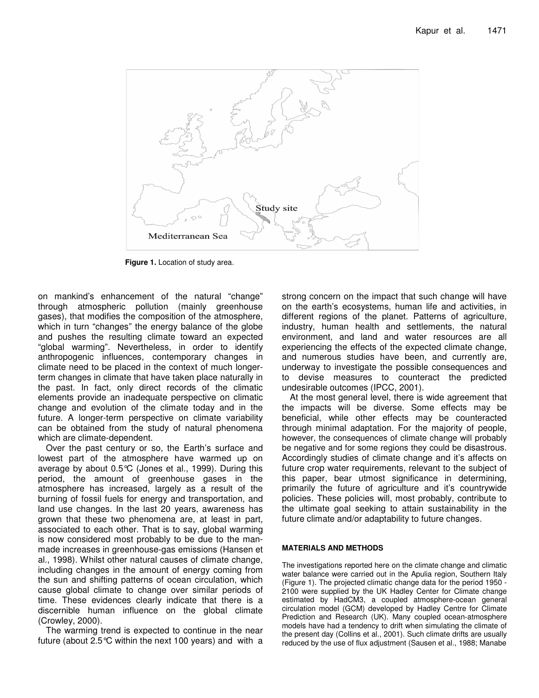

**Figure 1.** Location of study area.

on mankind's enhancement of the natural "change" through atmospheric pollution (mainly greenhouse gases), that modifies the composition of the atmosphere, which in turn "changes" the energy balance of the globe and pushes the resulting climate toward an expected "global warming". Nevertheless, in order to identify anthropogenic influences, contemporary changes in climate need to be placed in the context of much longerterm changes in climate that have taken place naturally in the past. In fact, only direct records of the climatic elements provide an inadequate perspective on climatic change and evolution of the climate today and in the future. A longer-term perspective on climate variability can be obtained from the study of natural phenomena which are climate-dependent.

Over the past century or so, the Earth's surface and lowest part of the atmosphere have warmed up on average by about 0.5°C (Jones et al., 1999). During this period, the amount of greenhouse gases in the atmosphere has increased, largely as a result of the burning of fossil fuels for energy and transportation, and land use changes. In the last 20 years, awareness has grown that these two phenomena are, at least in part, associated to each other. That is to say, global warming is now considered most probably to be due to the manmade increases in greenhouse-gas emissions (Hansen et al., 1998). Whilst other natural causes of climate change, including changes in the amount of energy coming from the sun and shifting patterns of ocean circulation, which cause global climate to change over similar periods of time. These evidences clearly indicate that there is a discernible human influence on the global climate (Crowley, 2000).

The warming trend is expected to continue in the near future (about 2.5°C within the next 100 years) and with a strong concern on the impact that such change will have on the earth's ecosystems, human life and activities, in different regions of the planet. Patterns of agriculture, industry, human health and settlements, the natural environment, and land and water resources are all experiencing the effects of the expected climate change, and numerous studies have been, and currently are, underway to investigate the possible consequences and to devise measures to counteract the predicted undesirable outcomes (IPCC, 2001).

At the most general level, there is wide agreement that the impacts will be diverse. Some effects may be beneficial, while other effects may be counteracted through minimal adaptation. For the majority of people, however, the consequences of climate change will probably be negative and for some regions they could be disastrous. Accordingly studies of climate change and it's affects on future crop water requirements, relevant to the subject of this paper, bear utmost significance in determining, primarily the future of agriculture and it's countrywide policies. These policies will, most probably, contribute to the ultimate goal seeking to attain sustainability in the future climate and/or adaptability to future changes.

#### **MATERIALS AND METHODS**

The investigations reported here on the climate change and climatic water balance were carried out in the Apulia region, Southern Italy (Figure 1). The projected climatic change data for the period 1950 - 2100 were supplied by the UK Hadley Center for Climate change estimated by HadCM3, a coupled atmosphere-ocean general circulation model (GCM) developed by Hadley Centre for Climate Prediction and Research (UK). Many coupled ocean-atmosphere models have had a tendency to drift when simulating the climate of the present day (Collins et al., 2001). Such climate drifts are usually reduced by the use of flux adjustment (Sausen et al., 1988; Manabe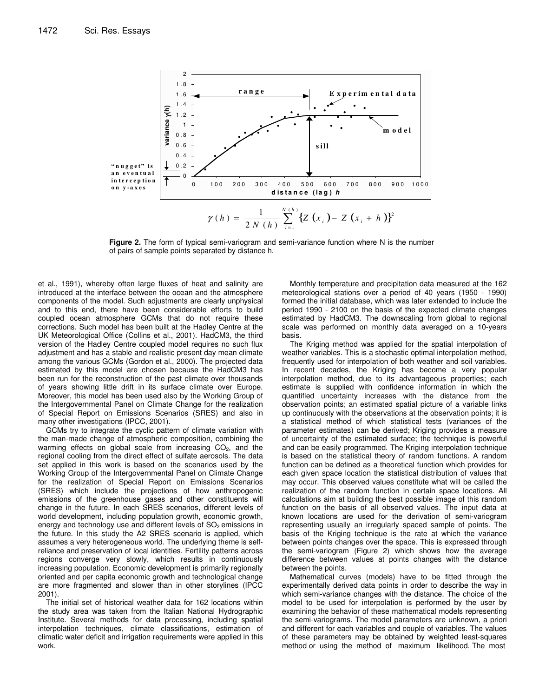

**Figure 2.** The form of typical semi-variogram and semi-variance function where N is the number of pairs of sample points separated by distance h.

et al., 1991), whereby often large fluxes of heat and salinity are introduced at the interface between the ocean and the atmosphere components of the model. Such adjustments are clearly unphysical and to this end, there have been considerable efforts to build coupled ocean atmosphere GCMs that do not require these corrections. Such model has been built at the Hadley Centre at the UK Meteorological Office (Collins et al., 2001). HadCM3, the third version of the Hadley Centre coupled model requires no such flux adjustment and has a stable and realistic present day mean climate among the various GCMs (Gordon et al., 2000). The projected data estimated by this model are chosen because the HadCM3 has been run for the reconstruction of the past climate over thousands of years showing little drift in its surface climate over Europe. Moreover, this model has been used also by the Working Group of the Intergovernmental Panel on Climate Change for the realization of Special Report on Emissions Scenarios (SRES) and also in many other investigations (IPCC, 2001).

GCMs try to integrate the cyclic pattern of climate variation with the man-made change of atmospheric composition, combining the warming effects on global scale from increasing  $CO<sub>2</sub>$ , and the regional cooling from the direct effect of sulfate aerosols. The data set applied in this work is based on the scenarios used by the Working Group of the Intergovernmental Panel on Climate Change for the realization of Special Report on Emissions Scenarios (SRES) which include the projections of how anthropogenic emissions of the greenhouse gases and other constituents will change in the future. In each SRES scenarios, different levels of world development, including population growth, economic growth, energy and technology use and different levels of  $SO<sub>2</sub>$  emissions in the future. In this study the A2 SRES scenario is applied, which assumes a very heterogeneous world. The underlying theme is selfreliance and preservation of local identities. Fertility patterns across regions converge very slowly, which results in continuously increasing population. Economic development is primarily regionally oriented and per capita economic growth and technological change are more fragmented and slower than in other storylines (IPCC 2001).

The initial set of historical weather data for 162 locations within the study area was taken from the Italian National Hydrographic Institute. Several methods for data processing, including spatial interpolation techniques, climate classifications, estimation of climatic water deficit and irrigation requirements were applied in this work.

Monthly temperature and precipitation data measured at the 162 meteorological stations over a period of 40 years (1950 - 1990) formed the initial database, which was later extended to include the period 1990 - 2100 on the basis of the expected climate changes estimated by HadCM3. The downscaling from global to regional scale was performed on monthly data averaged on a 10-years basis.

The Kriging method was applied for the spatial interpolation of weather variables. This is a stochastic optimal interpolation method, frequently used for interpolation of both weather and soil variables. In recent decades, the Kriging has become a very popular interpolation method, due to its advantageous properties; each estimate is supplied with confidence information in which the quantified uncertainty increases with the distance from the observation points; an estimated spatial picture of a variable links up continuously with the observations at the observation points; it is a statistical method of which statistical tests (variances of the parameter estimates) can be derived; Kriging provides a measure of uncertainty of the estimated surface; the technique is powerful and can be easily programmed. The Kriging interpolation technique is based on the statistical theory of random functions. A random function can be defined as a theoretical function which provides for each given space location the statistical distribution of values that may occur. This observed values constitute what will be called the realization of the random function in certain space locations. All calculations aim at building the best possible image of this random function on the basis of all observed values. The input data at known locations are used for the derivation of semi-variogram representing usually an irregularly spaced sample of points. The basis of the Kriging technique is the rate at which the variance between points changes over the space. This is expressed through the semi-variogram (Figure 2) which shows how the average difference between values at points changes with the distance between the points.

Mathematical curves (models) have to be fitted through the experimentally derived data points in order to describe the way in which semi-variance changes with the distance. The choice of the model to be used for interpolation is performed by the user by examining the behavior of these mathematical models representing the semi-variograms. The model parameters are unknown, a priori and different for each variables and couple of variables. The values of these parameters may be obtained by weighted least-squares method or using the method of maximum likelihood. The most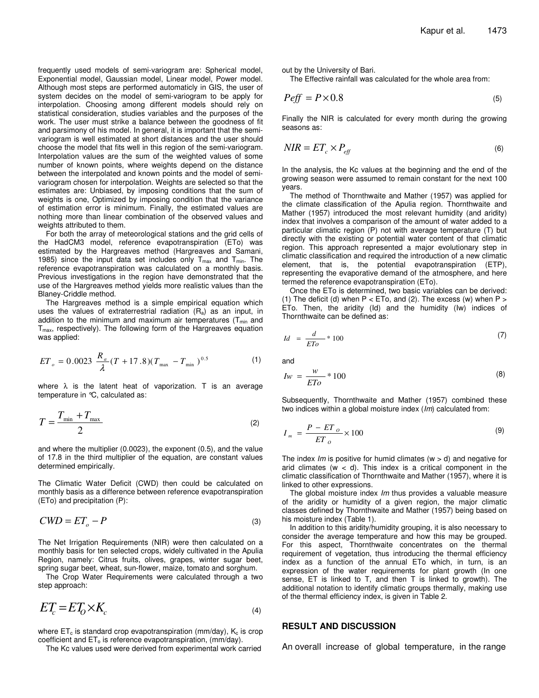frequently used models of semi-variogram are: Spherical model, Exponential model, Gaussian model, Linear model, Power model. Although most steps are performed automaticly in GIS, the user of system decides on the model of semi-variogram to be apply for interpolation. Choosing among different models should rely on statistical consideration, studies variables and the purposes of the work. The user must strike a balance between the goodness of fit and parsimony of his model. In general, it is important that the semivariogram is well estimated at short distances and the user should choose the model that fits well in this region of the semi-variogram. Interpolation values are the sum of the weighted values of some number of known points, where weights depend on the distance between the interpolated and known points and the model of semivariogram chosen for interpolation. Weights are selected so that the estimates are: Unbiased, by imposing conditions that the sum of weights is one, Optimized by imposing condition that the variance of estimation error is minimum. Finally, the estimated values are nothing more than linear combination of the observed values and weights attributed to them.

For both the array of meteorological stations and the grid cells of the HadCM3 model, reference evapotranspiration (ETo) was estimated by the Hargreaves method (Hargreaves and Samani, 1985) since the input data set includes only  $T_{max}$  and  $T_{min}$ . The reference evapotranspiration was calculated on a monthly basis. Previous investigations in the region have demonstrated that the use of the Hargreaves method yields more realistic values than the Blaney-Criddle method.

The Hargreaves method is a simple empirical equation which uses the values of extraterrestrial radiation  $(R_a)$  as an input, in addition to the minimum and maximum air temperatures  $(T_{min}$  and  $T<sub>max</sub>$ , respectively). The following form of the Hargreaves equation was applied:

$$
ET_o = 0.0023 \frac{R_a}{\lambda} (T + 17.8)(T_{\text{max}} - T_{\text{min}})^{0.5}
$$
 (1)

where  $\lambda$  is the latent heat of vaporization. T is an average temperature in °C, calculated as:

$$
T = \frac{T_{\min} + T_{\max}}{2} \tag{2}
$$

and where the multiplier (0.0023), the exponent (0.5), and the value of 17.8 in the third multiplier of the equation, are constant values determined empirically.

The Climatic Water Deficit (CWD) then could be calculated on monthly basis as a difference between reference evapotranspiration (ETo) and precipitation (P):

$$
CWD = ET_o - P \tag{3}
$$

The Net Irrigation Requirements (NIR) were then calculated on a monthly basis for ten selected crops, widely cultivated in the Apulia Region, namely: Citrus fruits, olives, grapes, winter sugar beet, spring sugar beet, wheat, sun-flower, maize, tomato and sorghum.

The Crop Water Requirements were calculated through a two step approach:

$$
ET_c = ET_0 \times K_c \tag{4}
$$

where  $ET_c$  is standard crop evapotranspiration (mm/day),  $K_c$  is crop coefficient and  $ET_0$  is reference evapotranspiration, (mm/day).

The Kc values used were derived from experimental work carried

out by the University of Bari.

The Effective rainfall was calculated for the whole area from:

$$
Peff = P \times 0.8 \tag{5}
$$

Finally the NIR is calculated for every month during the growing seasons as:

$$
NIR = ET_c \times P_{\text{eff}} \tag{6}
$$

In the analysis, the Kc values at the beginning and the end of the growing season were assumed to remain constant for the next 100 years.

The method of Thornthwaite and Mather (1957) was applied for the climate classification of the Apulia region. Thornthwaite and Mather (1957) introduced the most relevant humidity (and aridity) index that involves a comparison of the amount of water added to a particular climatic region (P) not with average temperature (T) but directly with the existing or potential water content of that climatic region. This approach represented a major evolutionary step in climatic classification and required the introduction of a new climatic element, that is, the potential evapotranspiration (ETP), representing the evaporative demand of the atmosphere, and here termed the reference evapotranspiration (ETo).

Once the ETo is determined, two basic variables can be derived: (1) The deficit (d) when  $P < E$ To, and (2). The excess (w) when  $P >$ ETo. Then, the aridity (Id) and the humidity (Iw) indices of Thornthwaite can be defined as:

$$
Id = \frac{d}{ETo} * 100 \tag{7}
$$

and

$$
Iw = \frac{w}{ETo} * 100 \tag{8}
$$

Subsequently, Thornthwaite and Mather (1957) combined these two indices within a global moisture index (*Im*) calculated from:

$$
I_m = \frac{P - ET_o}{ET_o} \times 100
$$
\n(9)

The index *Im* is positive for humid climates (w > d) and negative for arid climates ( $w < d$ ). This index is a critical component in the climatic classification of Thornthwaite and Mather (1957), where it is linked to other expressions.

The global moisture index *Im* thus provides a valuable measure of the aridity or humidity of a given region, the major climatic classes defined by Thornthwaite and Mather (1957) being based on his moisture index (Table 1).

In addition to this aridity/humidity grouping, it is also necessary to consider the average temperature and how this may be grouped. For this aspect, Thornthwaite concentrates on the thermal requirement of vegetation, thus introducing the thermal efficiency index as a function of the annual ETo which, in turn, is an expression of the water requirements for plant growth (In one sense, ET is linked to T, and then T is linked to growth). The additional notation to identify climatic groups thermally, making use of the thermal efficiency index, is given in Table 2.

#### **RESULT AND DISCUSSION**

An overall increase of global temperature, in the range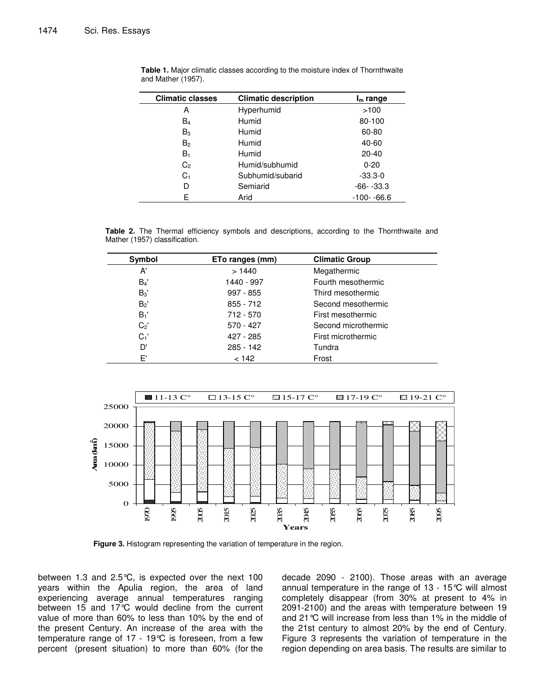| <b>Climatic classes</b> | <b>Climatic description</b> | $I_m$ range    |
|-------------------------|-----------------------------|----------------|
| А                       | Hyperhumid                  | >100           |
| $B_4$                   | Humid                       | 80-100         |
| $B_3$                   | Humid                       | 60-80          |
| B <sub>2</sub>          | Humid                       | 40-60          |
| $B_1$                   | Humid                       | $20 - 40$      |
| C <sub>2</sub>          | Humid/subhumid              | $0 - 20$       |
| C <sub>1</sub>          | Subhumid/subarid            | $-33.3-0$      |
| D                       | Semiarid                    | $-66 - -33.3$  |
| Е                       | Arid                        | $-100 - -66.6$ |

**Table 1.** Major climatic classes according to the moisture index of Thornthwaite and Mather (1957).

**Table 2.** The Thermal efficiency symbols and descriptions, according to the Thornthwaite and Mather (1957) classification.

| Symbol         | ETo ranges (mm) | <b>Climatic Group</b> |
|----------------|-----------------|-----------------------|
| A'             | >1440           | Megathermic           |
| $B_4'$         | 1440 - 997      | Fourth mesothermic    |
| $B_3'$         | $997 - 855$     | Third mesothermic     |
| $B_2'$         | $855 - 712$     | Second mesothermic    |
| $B_1$          | $712 - 570$     | First mesothermic     |
| C <sub>2</sub> | $570 - 427$     | Second microthermic   |
| $C_1'$         | 427 - 285       | First microthermic    |
| D'             | $285 - 142$     | Tundra                |
| F'             | < 142           | Frost                 |





between 1.3 and 2.5°C, is expected over the next 100 years within the Apulia region, the area of land experiencing average annual temperatures ranging between 15 and 17°C would decline from the current value of more than 60% to less than 10% by the end of the present Century. An increase of the area with the temperature range of 17 - 19°C is foreseen, from a few percent (present situation) to more than 60% (for the decade 2090 - 2100). Those areas with an average annual temperature in the range of 13 - 15°C will almost completely disappear (from 30% at present to 4% in 2091-2100) and the areas with temperature between 19 and 21°C will increase from less than 1% in the middle of the 21st century to almost 20% by the end of Century. Figure 3 represents the variation of temperature in the region depending on area basis. The results are similar to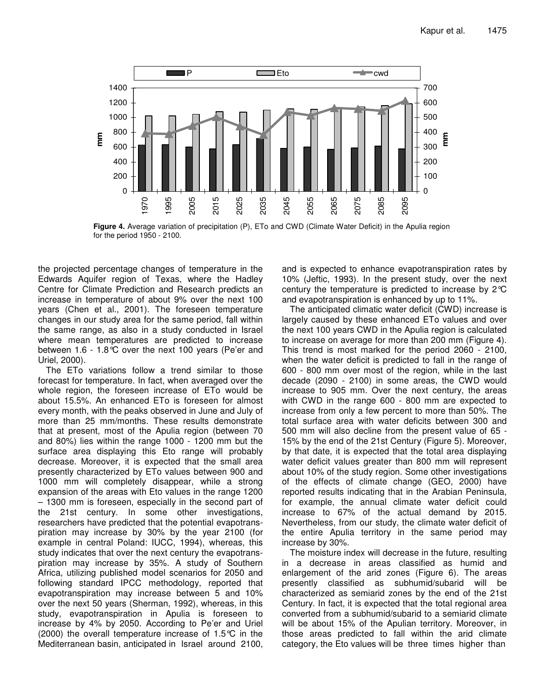

**Figure 4.** Average variation of precipitation (P), ETo and CWD (Climate Water Deficit) in the Apulia region for the period 1950 - 2100.

the projected percentage changes of temperature in the Edwards Aquifer region of Texas, where the Hadley Centre for Climate Prediction and Research predicts an increase in temperature of about 9% over the next 100 years (Chen et al., 2001). The foreseen temperature changes in our study area for the same period, fall within the same range, as also in a study conducted in Israel where mean temperatures are predicted to increase between 1.6 - 1.8°C over the next 100 years (Pe'er and Uriel, 2000).

The ETo variations follow a trend similar to those forecast for temperature. In fact, when averaged over the whole region, the foreseen increase of ETo would be about 15.5%. An enhanced ETo is foreseen for almost every month, with the peaks observed in June and July of more than 25 mm/months. These results demonstrate that at present, most of the Apulia region (between 70 and 80%) lies within the range 1000 - 1200 mm but the surface area displaying this Eto range will probably decrease. Moreover, it is expected that the small area presently characterized by ETo values between 900 and 1000 mm will completely disappear, while a strong expansion of the areas with Eto values in the range 1200 – 1300 mm is foreseen, especially in the second part of the 21st century. In some other investigations, researchers have predicted that the potential evapotranspiration may increase by 30% by the year 2100 (for example in central Poland: IUCC, 1994), whereas, this study indicates that over the next century the evapotranspiration may increase by 35%. A study of Southern Africa, utilizing published model scenarios for 2050 and following standard IPCC methodology, reported that evapotranspiration may increase between 5 and 10% over the next 50 years (Sherman, 1992), whereas, in this study, evapotranspiration in Apulia is foreseen to increase by 4% by 2050. According to Pe'er and Uriel (2000) the overall temperature increase of 1.5°C in the Mediterranean basin, anticipated in Israel around 2100,

and is expected to enhance evapotranspiration rates by 10% (Jeftic, 1993). In the present study, over the next century the temperature is predicted to increase by 2°C and evapotranspiration is enhanced by up to 11%.

The anticipated climatic water deficit (CWD) increase is largely caused by these enhanced ETo values and over the next 100 years CWD in the Apulia region is calculated to increase on average for more than 200 mm (Figure 4). This trend is most marked for the period 2060 - 2100, when the water deficit is predicted to fall in the range of 600 - 800 mm over most of the region, while in the last decade (2090 - 2100) in some areas, the CWD would increase to 905 mm. Over the next century, the areas with CWD in the range 600 - 800 mm are expected to increase from only a few percent to more than 50%. The total surface area with water deficits between 300 and 500 mm will also decline from the present value of 65 - 15% by the end of the 21st Century (Figure 5). Moreover, by that date, it is expected that the total area displaying water deficit values greater than 800 mm will represent about 10% of the study region. Some other investigations of the effects of climate change (GEO, 2000) have reported results indicating that in the Arabian Peninsula, for example, the annual climate water deficit could increase to 67% of the actual demand by 2015. Nevertheless, from our study, the climate water deficit of the entire Apulia territory in the same period may increase by 30%.

The moisture index will decrease in the future, resulting in a decrease in areas classified as humid and enlargement of the arid zones (Figure 6). The areas presently classified as subhumid/subarid will be characterized as semiarid zones by the end of the 21st Century. In fact, it is expected that the total regional area converted from a subhumid/subarid to a semiarid climate will be about 15% of the Apulian territory. Moreover, in those areas predicted to fall within the arid climate category, the Eto values will be three times higher than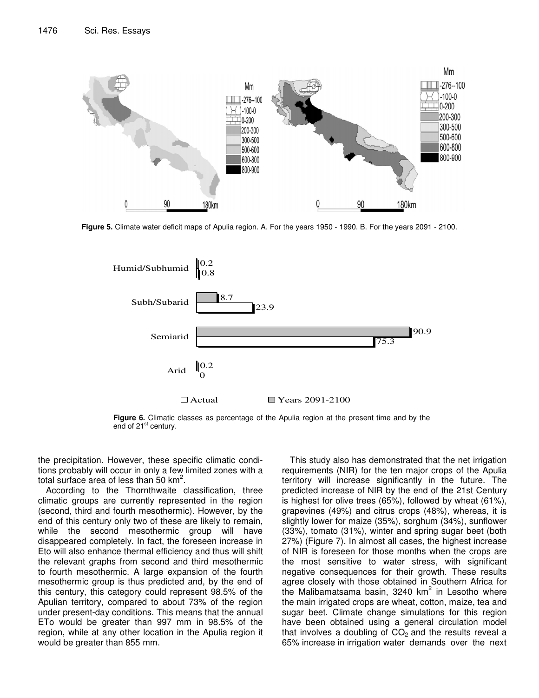

**Figure 5.** Climate water deficit maps of Apulia region. A. For the years 1950 - 1990. B. For the years 2091 - 2100.



**Figure 6.** Climatic classes as percentage of the Apulia region at the present time and by the end of 21<sup>st</sup> century.

the precipitation. However, these specific climatic conditions probably will occur in only a few limited zones with a total surface area of less than 50  $km^2$ .

According to the Thornthwaite classification, three climatic groups are currently represented in the region (second, third and fourth mesothermic). However, by the end of this century only two of these are likely to remain, while the second mesothermic group will have disappeared completely. In fact, the foreseen increase in Eto will also enhance thermal efficiency and thus will shift the relevant graphs from second and third mesothermic to fourth mesothermic. A large expansion of the fourth mesothermic group is thus predicted and, by the end of this century, this category could represent 98.5% of the Apulian territory, compared to about 73% of the region under present-day conditions. This means that the annual ETo would be greater than 997 mm in 98.5% of the region, while at any other location in the Apulia region it would be greater than 855 mm.

This study also has demonstrated that the net irrigation requirements (NIR) for the ten major crops of the Apulia territory will increase significantly in the future. The predicted increase of NIR by the end of the 21st Century is highest for olive trees (65%), followed by wheat (61%), grapevines (49%) and citrus crops (48%), whereas, it is slightly lower for maize (35%), sorghum (34%), sunflower (33%), tomato (31%), winter and spring sugar beet (both 27%) (Figure 7). In almost all cases, the highest increase of NIR is foreseen for those months when the crops are the most sensitive to water stress, with significant negative consequences for their growth. These results agree closely with those obtained in Southern Africa for the Malibamatsama basin, 3240 km<sup>2</sup> in Lesotho where the main irrigated crops are wheat, cotton, maize, tea and sugar beet. Climate change simulations for this region have been obtained using a general circulation model that involves a doubling of  $CO<sub>2</sub>$  and the results reveal a 65% increase in irrigation water demands over the next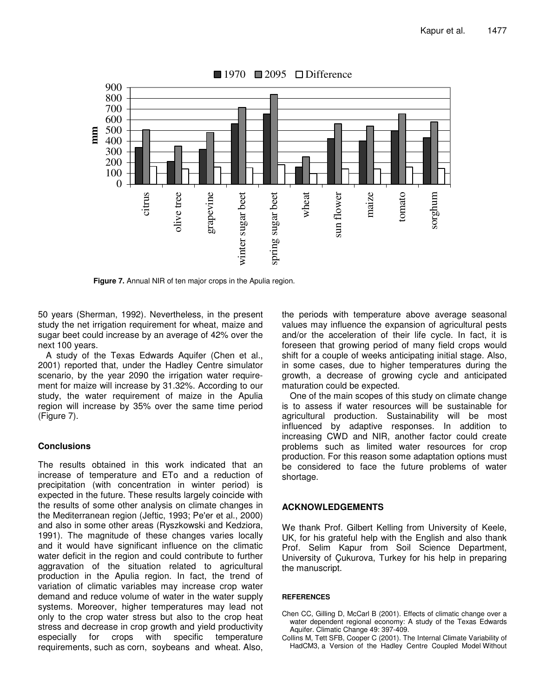

 $1970 \square 2095 \square$ Difference

**Figure 7.** Annual NIR of ten major crops in the Apulia region.

50 years (Sherman, 1992). Nevertheless, in the present study the net irrigation requirement for wheat, maize and sugar beet could increase by an average of 42% over the next 100 years.

A study of the Texas Edwards Aquifer (Chen et al., 2001) reported that, under the Hadley Centre simulator scenario, by the year 2090 the irrigation water requirement for maize will increase by 31.32%. According to our study, the water requirement of maize in the Apulia region will increase by 35% over the same time period (Figure 7).

## **Conclusions**

The results obtained in this work indicated that an increase of temperature and ETo and a reduction of precipitation (with concentration in winter period) is expected in the future. These results largely coincide with the results of some other analysis on climate changes in the Mediterranean region (Jeftic, 1993; Pe'er et al., 2000) and also in some other areas (Ryszkowski and Kedziora, 1991). The magnitude of these changes varies locally and it would have significant influence on the climatic water deficit in the region and could contribute to further aggravation of the situation related to agricultural production in the Apulia region. In fact, the trend of variation of climatic variables may increase crop water demand and reduce volume of water in the water supply systems. Moreover, higher temperatures may lead not only to the crop water stress but also to the crop heat stress and decrease in crop growth and yield productivity especially for crops with specific temperature requirements, such as corn, soybeans and wheat. Also,

the periods with temperature above average seasonal values may influence the expansion of agricultural pests and/or the acceleration of their life cycle. In fact, it is foreseen that growing period of many field crops would shift for a couple of weeks anticipating initial stage. Also, in some cases, due to higher temperatures during the growth, a decrease of growing cycle and anticipated maturation could be expected.

One of the main scopes of this study on climate change is to assess if water resources will be sustainable for agricultural production. Sustainability will be most influenced by adaptive responses. In addition to increasing CWD and NIR, another factor could create problems such as limited water resources for crop production. For this reason some adaptation options must be considered to face the future problems of water shortage.

## **ACKNOWLEDGEMENTS**

We thank Prof. Gilbert Kelling from University of Keele, UK, for his grateful help with the English and also thank Prof. Selim Kapur from Soil Science Department, University of Çukurova, Turkey for his help in preparing the manuscript.

#### **REFERENCES**

- Chen CC, Gilling D, McCarl B (2001). Effects of climatic change over a water dependent regional economy: A study of the Texas Edwards Aquifer. Climatic Change 49: 397-409.
- Collins M, Tett SFB, Cooper C (2001). The Internal Climate Variability of HadCM3, a Version of the Hadley Centre Coupled Model Without